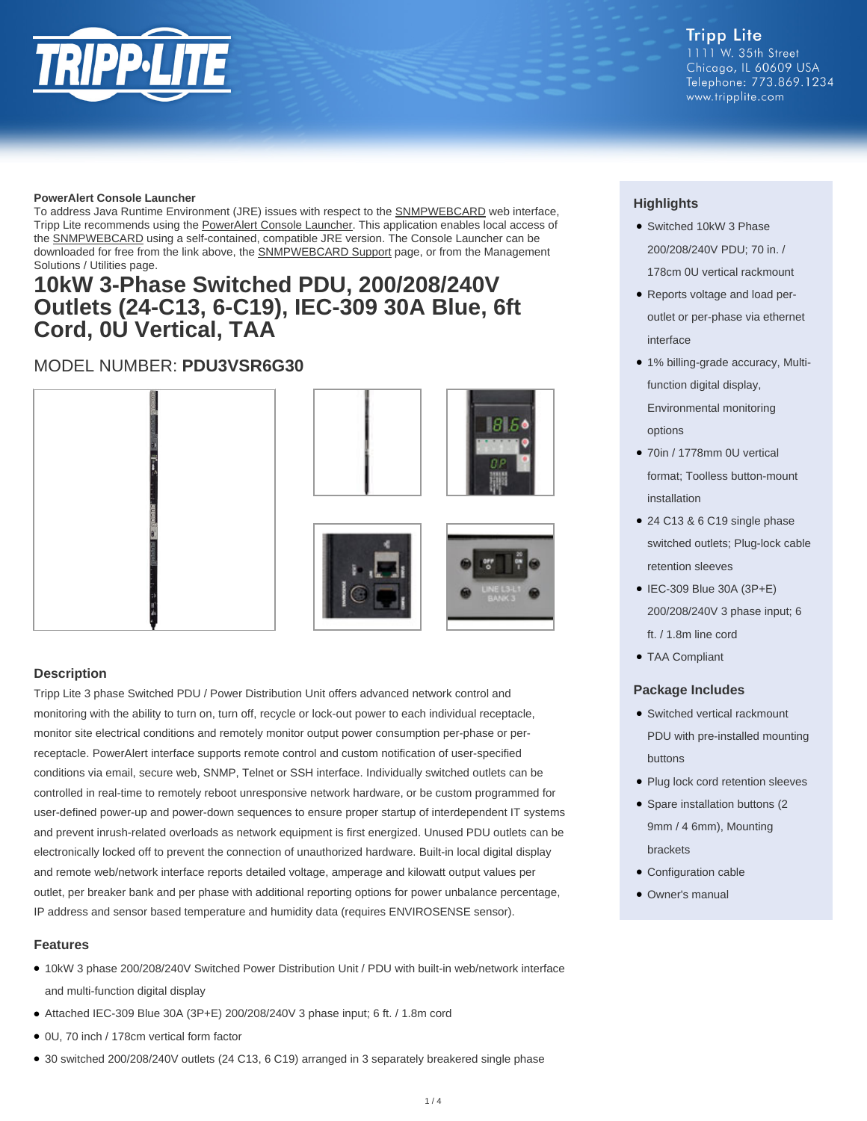

www.tripplite.com

#### **PowerAlert Console Launcher**

To address Java Runtime Environment (JRE) issues with respect to the **SNMPWEBCARD** web interface, Tripp Lite recommends using the [PowerAlert Console Launcher.](https://assets.tripplite.com/software/poweralert-console-launcher.zip) This application enables local access of the [SNMPWEBCARD](https://www.tripplite.com/SNMP-Web-Management-Accessory-Card-SmartPro-SmartOnline-UPS-Systems~SNMPWEBCARD) using a self-contained, compatible JRE version. The Console Launcher can be downloaded for free from the link above, the [SNMPWEBCARD Support](https://www.tripplite.com/support/product/part-number/SNMPWEBCARD) page, or from the Management Solutions / Utilities page.

## **10kW 3-Phase Switched PDU, 200/208/240V Outlets (24-C13, 6-C19), IEC-309 30A Blue, 6ft Cord, 0U Vertical, TAA**

### MODEL NUMBER: **PDU3VSR6G30**



#### **Description**

Tripp Lite 3 phase Switched PDU / Power Distribution Unit offers advanced network control and monitoring with the ability to turn on, turn off, recycle or lock-out power to each individual receptacle, monitor site electrical conditions and remotely monitor output power consumption per-phase or perreceptacle. PowerAlert interface supports remote control and custom notification of user-specified conditions via email, secure web, SNMP, Telnet or SSH interface. Individually switched outlets can be controlled in real-time to remotely reboot unresponsive network hardware, or be custom programmed for user-defined power-up and power-down sequences to ensure proper startup of interdependent IT systems and prevent inrush-related overloads as network equipment is first energized. Unused PDU outlets can be electronically locked off to prevent the connection of unauthorized hardware. Built-in local digital display and remote web/network interface reports detailed voltage, amperage and kilowatt output values per outlet, per breaker bank and per phase with additional reporting options for power unbalance percentage, IP address and sensor based temperature and humidity data (requires ENVIROSENSE sensor).

#### **Features**

- 10kW 3 phase 200/208/240V Switched Power Distribution Unit / PDU with built-in web/network interface and multi-function digital display
- Attached IEC-309 Blue 30A (3P+E) 200/208/240V 3 phase input; 6 ft. / 1.8m cord
- 0U, 70 inch / 178cm vertical form factor
- 30 switched 200/208/240V outlets (24 C13, 6 C19) arranged in 3 separately breakered single phase

### **Highlights**

- Switched 10kW 3 Phase 200/208/240V PDU; 70 in. / 178cm 0U vertical rackmount
- Reports voltage and load peroutlet or per-phase via ethernet interface
- 1% billing-grade accuracy, Multifunction digital display, Environmental monitoring options
- 70in / 1778mm 0U vertical format; Toolless button-mount installation
- 24 C13 & 6 C19 single phase switched outlets; Plug-lock cable retention sleeves
- IEC-309 Blue 30A (3P+E) 200/208/240V 3 phase input; 6 ft. / 1.8m line cord
- TAA Compliant

#### **Package Includes**

- Switched vertical rackmount PDU with pre-installed mounting buttons
- Plug lock cord retention sleeves
- Spare installation buttons (2 9mm / 4 6mm), Mounting brackets
- Configuration cable
- Owner's manual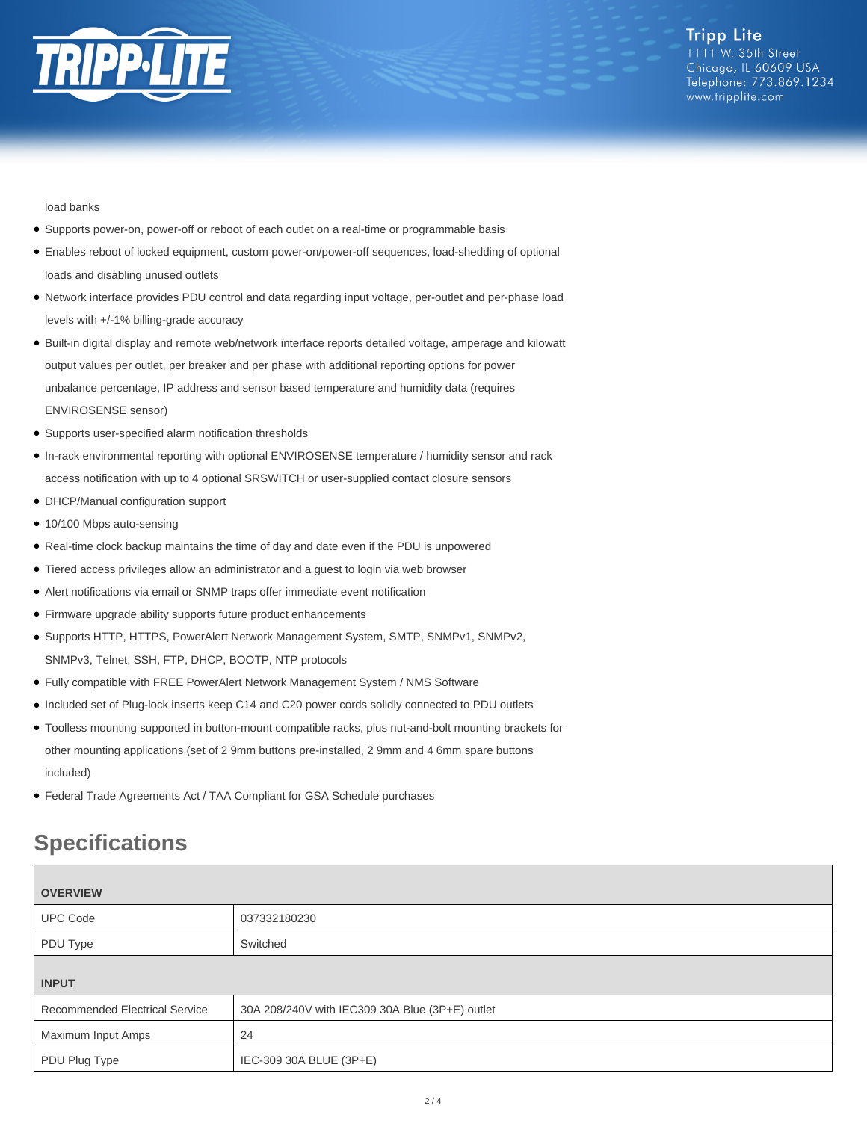

load banks

- Supports power-on, power-off or reboot of each outlet on a real-time or programmable basis
- Enables reboot of locked equipment, custom power-on/power-off sequences, load-shedding of optional loads and disabling unused outlets
- Network interface provides PDU control and data regarding input voltage, per-outlet and per-phase load levels with +/-1% billing-grade accuracy
- Built-in digital display and remote web/network interface reports detailed voltage, amperage and kilowatt output values per outlet, per breaker and per phase with additional reporting options for power unbalance percentage, IP address and sensor based temperature and humidity data (requires ENVIROSENSE sensor)
- Supports user-specified alarm notification thresholds
- In-rack environmental reporting with optional ENVIROSENSE temperature / humidity sensor and rack access notification with up to 4 optional SRSWITCH or user-supplied contact closure sensors
- DHCP/Manual configuration support
- 10/100 Mbps auto-sensing
- Real-time clock backup maintains the time of day and date even if the PDU is unpowered
- Tiered access privileges allow an administrator and a guest to login via web browser
- Alert notifications via email or SNMP traps offer immediate event notification
- Firmware upgrade ability supports future product enhancements
- Supports HTTP, HTTPS, PowerAlert Network Management System, SMTP, SNMPv1, SNMPv2, SNMPv3, Telnet, SSH, FTP, DHCP, BOOTP, NTP protocols
- Fully compatible with FREE PowerAlert Network Management System / NMS Software
- Included set of Plug-lock inserts keep C14 and C20 power cords solidly connected to PDU outlets
- Toolless mounting supported in button-mount compatible racks, plus nut-and-bolt mounting brackets for other mounting applications (set of 2 9mm buttons pre-installed, 2 9mm and 4 6mm spare buttons included)
- Federal Trade Agreements Act / TAA Compliant for GSA Schedule purchases

## **Specifications**

| <b>OVERVIEW</b>                       |                                                 |  |
|---------------------------------------|-------------------------------------------------|--|
| <b>UPC Code</b>                       | 037332180230                                    |  |
| PDU Type                              | Switched                                        |  |
| <b>INPUT</b>                          |                                                 |  |
| <b>Recommended Electrical Service</b> | 30A 208/240V with IEC309 30A Blue (3P+E) outlet |  |
| Maximum Input Amps                    | 24                                              |  |
| PDU Plug Type                         | IEC-309 30A BLUE (3P+E)                         |  |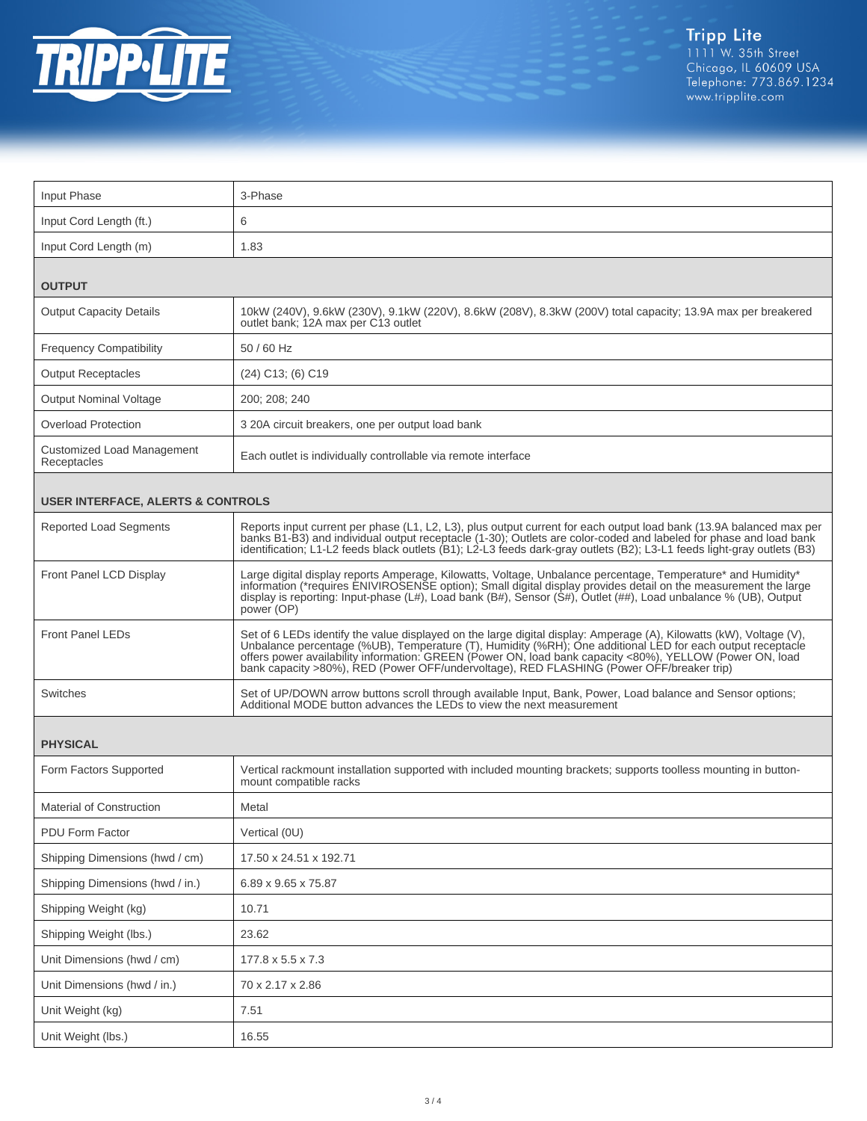

| Input Phase                                  | 3-Phase                                                                                                                                                                                                                                                                                                                                                                                                                                   |  |
|----------------------------------------------|-------------------------------------------------------------------------------------------------------------------------------------------------------------------------------------------------------------------------------------------------------------------------------------------------------------------------------------------------------------------------------------------------------------------------------------------|--|
| Input Cord Length (ft.)                      | 6                                                                                                                                                                                                                                                                                                                                                                                                                                         |  |
| Input Cord Length (m)                        | 1.83                                                                                                                                                                                                                                                                                                                                                                                                                                      |  |
| <b>OUTPUT</b>                                |                                                                                                                                                                                                                                                                                                                                                                                                                                           |  |
| <b>Output Capacity Details</b>               | 10kW (240V), 9.6kW (230V), 9.1kW (220V), 8.6kW (208V), 8.3kW (200V) total capacity; 13.9A max per breakered<br>outlet bank; 12A max per C13 outlet                                                                                                                                                                                                                                                                                        |  |
| <b>Frequency Compatibility</b>               | 50 / 60 Hz                                                                                                                                                                                                                                                                                                                                                                                                                                |  |
| <b>Output Receptacles</b>                    | $(24)$ C <sub>13</sub> ; $(6)$ C <sub>19</sub>                                                                                                                                                                                                                                                                                                                                                                                            |  |
| <b>Output Nominal Voltage</b>                | 200; 208; 240                                                                                                                                                                                                                                                                                                                                                                                                                             |  |
| <b>Overload Protection</b>                   | 3 20A circuit breakers, one per output load bank                                                                                                                                                                                                                                                                                                                                                                                          |  |
| Customized Load Management<br>Receptacles    | Each outlet is individually controllable via remote interface                                                                                                                                                                                                                                                                                                                                                                             |  |
| <b>USER INTERFACE, ALERTS &amp; CONTROLS</b> |                                                                                                                                                                                                                                                                                                                                                                                                                                           |  |
| <b>Reported Load Segments</b>                | Reports input current per phase (L1, L2, L3), plus output current for each output load bank (13.9A balanced max per<br>banks B1-B3) and individual output receptacle (1-30); Outlets are color-coded and labeled for phase and load bank<br>identification; L1-L2 feeds black outlets (B1); L2-L3 feeds dark-gray outlets (B2); L3-L1 feeds light-gray outlets (B3)                                                                       |  |
| Front Panel LCD Display                      | Large digital display reports Amperage, Kilowatts, Voltage, Unbalance percentage, Temperature* and Humidity*<br>information ("requires ENIVIROSENSE option); Small digital display provides detail on the measurement the large<br>display is reporting: Input-phase (L#), Load bank (B#), Sensor (S#), Outlet (##), Load unbalance % (UB), Outpu<br>power (OP)                                                                           |  |
| <b>Front Panel LEDs</b>                      | Set of 6 LEDs identify the value displayed on the large digital display: Amperage (A), Kilowatts (kW), Voltage (V),<br>Unbalance percentage (%UB), Temperature (T), Humidity (%RH); One additional LED for each output receptacle<br>offers power availability information: GREEN (Power ON, load bank capacity <80%), YELLOW (Power ON, load<br>bank capacity >80%), RED (Power OFF/undervoltage), RED FLASHING (Power OFF/breaker trip) |  |
| Switches                                     | Set of UP/DOWN arrow buttons scroll through available Input, Bank, Power, Load balance and Sensor options; Additional MODE button advances the LEDs to view the next measurement                                                                                                                                                                                                                                                          |  |
| <b>PHYSICAL</b>                              |                                                                                                                                                                                                                                                                                                                                                                                                                                           |  |
| Form Factors Supported                       | Vertical rackmount installation supported with included mounting brackets; supports toolless mounting in button-<br>mount compatible racks                                                                                                                                                                                                                                                                                                |  |
| <b>Material of Construction</b>              | Metal                                                                                                                                                                                                                                                                                                                                                                                                                                     |  |
| PDU Form Factor                              | Vertical (0U)                                                                                                                                                                                                                                                                                                                                                                                                                             |  |
| Shipping Dimensions (hwd / cm)               | 17.50 x 24.51 x 192.71                                                                                                                                                                                                                                                                                                                                                                                                                    |  |
| Shipping Dimensions (hwd / in.)              | 6.89 x 9.65 x 75.87                                                                                                                                                                                                                                                                                                                                                                                                                       |  |
| Shipping Weight (kg)                         | 10.71                                                                                                                                                                                                                                                                                                                                                                                                                                     |  |
| Shipping Weight (lbs.)                       | 23.62                                                                                                                                                                                                                                                                                                                                                                                                                                     |  |
| Unit Dimensions (hwd / cm)                   | 177.8 x 5.5 x 7.3                                                                                                                                                                                                                                                                                                                                                                                                                         |  |
| Unit Dimensions (hwd / in.)                  | 70 x 2.17 x 2.86                                                                                                                                                                                                                                                                                                                                                                                                                          |  |
| Unit Weight (kg)                             | 7.51                                                                                                                                                                                                                                                                                                                                                                                                                                      |  |
| Unit Weight (lbs.)                           | 16.55                                                                                                                                                                                                                                                                                                                                                                                                                                     |  |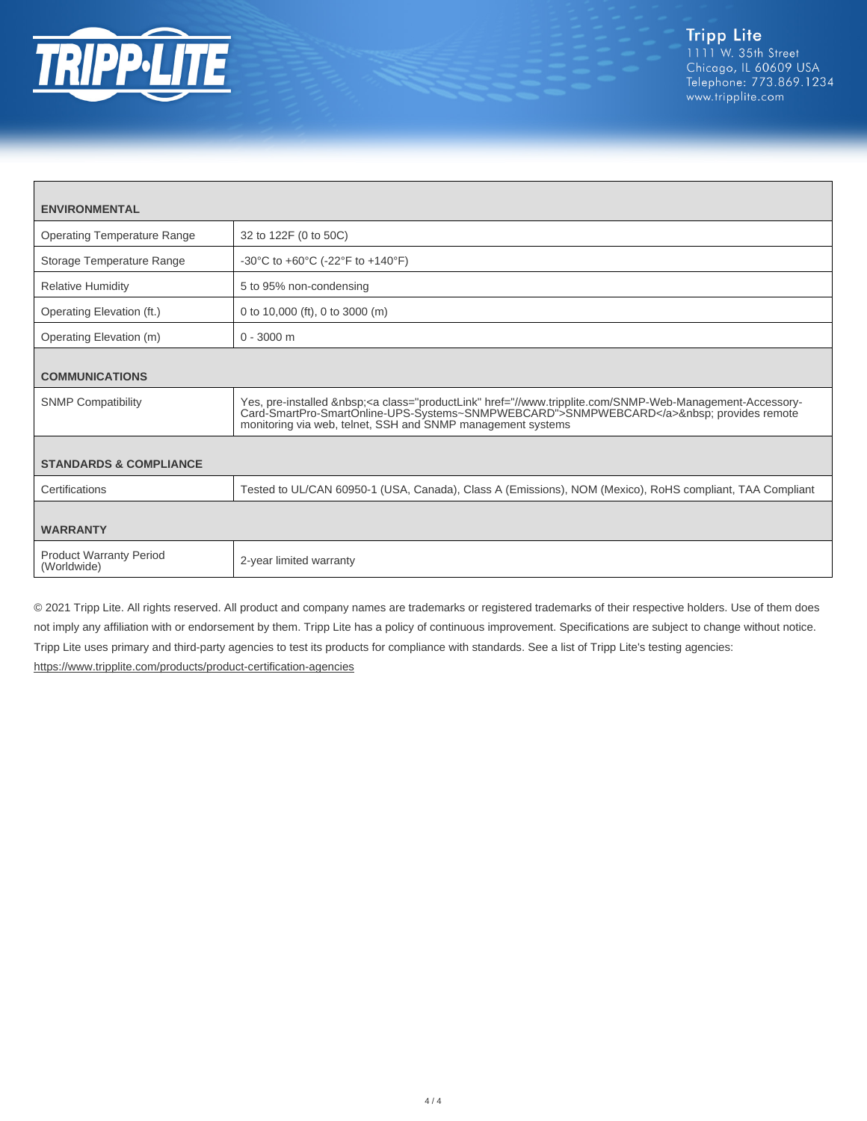

| <b>ENVIRONMENTAL</b>                          |                                                                                                                                                                                                                                                               |  |
|-----------------------------------------------|---------------------------------------------------------------------------------------------------------------------------------------------------------------------------------------------------------------------------------------------------------------|--|
| Operating Temperature Range                   | 32 to 122F (0 to 50C)                                                                                                                                                                                                                                         |  |
| Storage Temperature Range                     | -30°C to +60°C (-22°F to +140°F)                                                                                                                                                                                                                              |  |
| <b>Relative Humidity</b>                      | 5 to 95% non-condensing                                                                                                                                                                                                                                       |  |
| Operating Elevation (ft.)                     | 0 to 10,000 (ft), 0 to 3000 (m)                                                                                                                                                                                                                               |  |
| Operating Elevation (m)                       | $0 - 3000$ m                                                                                                                                                                                                                                                  |  |
| <b>COMMUNICATIONS</b>                         |                                                                                                                                                                                                                                                               |  |
| <b>SNMP Compatibility</b>                     | Yes, pre-installed <a class="productLink" href="//www.tripplite.com/SNMP-Web-Management-Accessory-&lt;br&gt;Card-SmartPro-SmartOnline-UPS-Systems~SNMPWEBCARD">SNMPWEBCARD</a> provides remote<br>monitoring via web, telnet, SSH and SNMP management systems |  |
| <b>STANDARDS &amp; COMPLIANCE</b>             |                                                                                                                                                                                                                                                               |  |
| Certifications                                | Tested to UL/CAN 60950-1 (USA, Canada), Class A (Emissions), NOM (Mexico), RoHS compliant, TAA Compliant                                                                                                                                                      |  |
| <b>WARRANTY</b>                               |                                                                                                                                                                                                                                                               |  |
| <b>Product Warranty Period</b><br>(Worldwide) | 2-year limited warranty                                                                                                                                                                                                                                       |  |

© 2021 Tripp Lite. All rights reserved. All product and company names are trademarks or registered trademarks of their respective holders. Use of them does not imply any affiliation with or endorsement by them. Tripp Lite has a policy of continuous improvement. Specifications are subject to change without notice. Tripp Lite uses primary and third-party agencies to test its products for compliance with standards. See a list of Tripp Lite's testing agencies: <https://www.tripplite.com/products/product-certification-agencies>